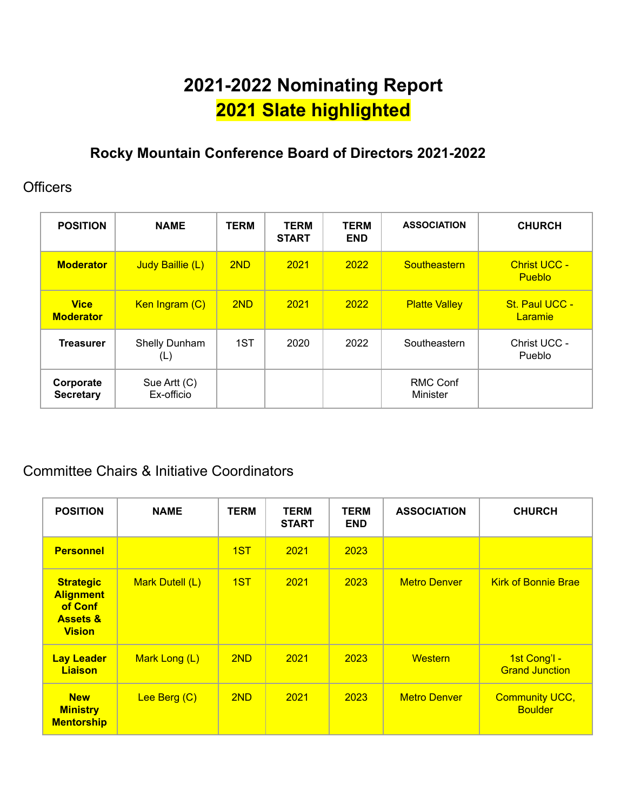# **2021-2022 Nominating Report 2021 Slate highlighted**

# **Rocky Mountain Conference Board of Directors 2021-2022**

### **Officers**

| <b>POSITION</b>                 | <b>NAME</b>                | <b>TERM</b> | <b>TERM</b><br><b>START</b> | <b>TERM</b><br><b>END</b> | <b>ASSOCIATION</b>          | <b>CHURCH</b>                        |
|---------------------------------|----------------------------|-------------|-----------------------------|---------------------------|-----------------------------|--------------------------------------|
| <b>Moderator</b>                | Judy Baillie (L)           | 2ND         | 2021                        | 2022                      | Southeastern                | <b>Christ UCC -</b><br><b>Pueblo</b> |
| <b>Vice</b><br><b>Moderator</b> | Ken Ingram (C)             | 2ND         | 2021                        | 2022                      | <b>Platte Valley</b>        | St. Paul UCC -<br><b>Laramie</b>     |
| <b>Treasurer</b>                | Shelly Dunham<br>(L)       | 1ST         | 2020                        | 2022                      | Southeastern                | Christ UCC -<br>Pueblo               |
| Corporate<br><b>Secretary</b>   | Sue Artt (C)<br>Ex-officio |             |                             |                           | <b>RMC Conf</b><br>Minister |                                      |

# Committee Chairs & Initiative Coordinators

| <b>POSITION</b>                                                                         | <b>NAME</b>     | <b>TERM</b> | <b>TERM</b><br><b>START</b> | <b>TERM</b><br><b>END</b> | <b>ASSOCIATION</b>  | <b>CHURCH</b>                           |
|-----------------------------------------------------------------------------------------|-----------------|-------------|-----------------------------|---------------------------|---------------------|-----------------------------------------|
| <b>Personnel</b>                                                                        |                 | 1ST         | 2021                        | 2023                      |                     |                                         |
| <b>Strategic</b><br><b>Alignment</b><br>of Conf<br><b>Assets &amp;</b><br><b>Vision</b> | Mark Dutell (L) | 1ST         | 2021                        | 2023                      | <b>Metro Denver</b> | <b>Kirk of Bonnie Brae</b>              |
| <b>Lay Leader</b><br>Liaison                                                            | Mark Long (L)   | 2ND         | 2021                        | 2023                      | <b>Western</b>      | 1st Cong'l -<br><b>Grand Junction</b>   |
| <b>New</b><br><b>Ministry</b><br><b>Mentorship</b>                                      | Lee Berg (C)    | 2ND         | 2021                        | 2023                      | <b>Metro Denver</b> | <b>Community UCC,</b><br><b>Boulder</b> |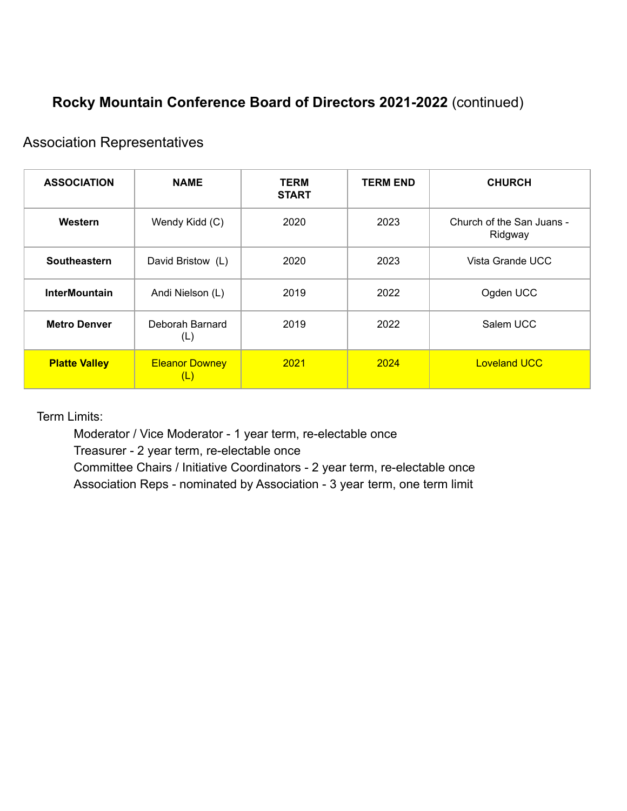# **Rocky Mountain Conference Board of Directors 2021-2022** (continued)

### Association Representatives

| <b>ASSOCIATION</b>   | <b>NAME</b>                  | <b>TERM</b><br><b>START</b> | <b>TERM END</b> | <b>CHURCH</b>                        |
|----------------------|------------------------------|-----------------------------|-----------------|--------------------------------------|
| Western              | Wendy Kidd (C)               | 2020                        | 2023            | Church of the San Juans -<br>Ridgway |
| Southeastern         | David Bristow (L)            | 2020                        | 2023            | Vista Grande UCC                     |
| <b>InterMountain</b> | Andi Nielson (L)             | 2019                        | 2022            | Ogden UCC                            |
| <b>Metro Denver</b>  | Deborah Barnard<br>(L)       | 2019                        | 2022            | Salem UCC                            |
| <b>Platte Valley</b> | <b>Eleanor Downey</b><br>(L) | 2021                        | 2024            | <b>Loveland UCC</b>                  |

Term Limits:

Moderator / Vice Moderator - 1 year term, re-electable once

Treasurer - 2 year term, re-electable once

Committee Chairs / Initiative Coordinators - 2 year term, re-electable once Association Reps - nominated by Association - 3 year term, one term limit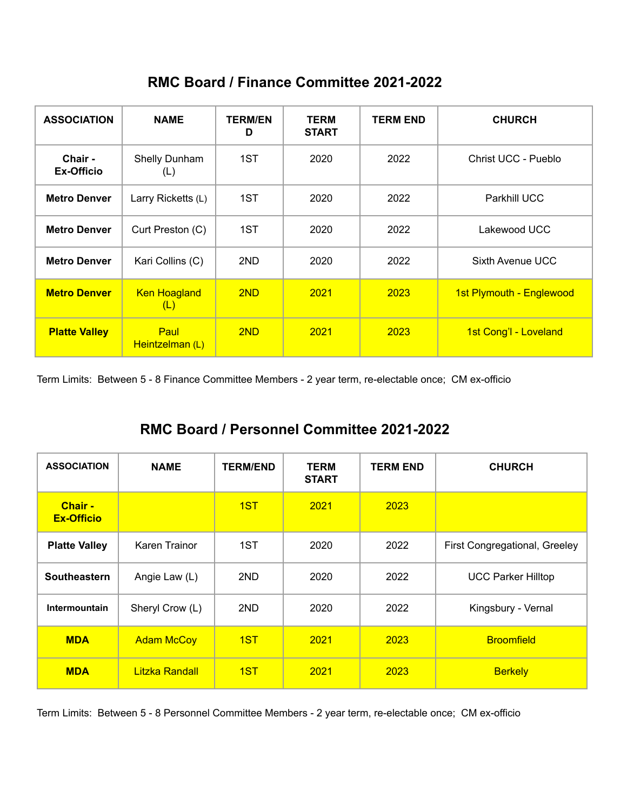|  |  |  | RMC Board / Finance Committee 2021-2022 |  |
|--|--|--|-----------------------------------------|--|
|--|--|--|-----------------------------------------|--|

| <b>ASSOCIATION</b>    | <b>NAME</b>                | <b>TERM/EN</b><br>D | <b>TERM</b><br><b>START</b> | <b>TERM END</b> | <b>CHURCH</b>            |
|-----------------------|----------------------------|---------------------|-----------------------------|-----------------|--------------------------|
| Chair -<br>Ex-Officio | Shelly Dunham<br>(L)       | 1ST                 | 2020                        | 2022            | Christ UCC - Pueblo      |
| <b>Metro Denver</b>   | Larry Ricketts (L)         | 1ST                 | 2020                        | 2022            | <b>Parkhill UCC</b>      |
| <b>Metro Denver</b>   | Curt Preston (C)           | 1ST                 | 2020                        | 2022            | Lakewood UCC             |
| <b>Metro Denver</b>   | Kari Collins (C)           | 2ND                 | 2020                        | 2022            | Sixth Avenue UCC         |
| <b>Metro Denver</b>   | <b>Ken Hoagland</b><br>(L) | 2ND                 | 2021                        | 2023            | 1st Plymouth - Englewood |
| <b>Platte Valley</b>  | Paul<br>Heintzelman (L)    | 2ND                 | 2021                        | 2023            | 1st Cong'l - Loveland    |

Term Limits: Between 5 - 8 Finance Committee Members - 2 year term, re-electable once; CM ex-officio

### **RMC Board / Personnel Committee 2021-2022**

| <b>ASSOCIATION</b>                  | <b>NAME</b>       | <b>TERM/END</b> | <b>TERM</b><br><b>START</b> | <b>TERM END</b> | <b>CHURCH</b>                 |
|-------------------------------------|-------------------|-----------------|-----------------------------|-----------------|-------------------------------|
| <b>Chair -</b><br><b>Ex-Officio</b> |                   | 1ST             | 2021                        | 2023            |                               |
| <b>Platte Valley</b>                | Karen Trainor     | 1ST             | 2020                        | 2022            | First Congregational, Greeley |
| <b>Southeastern</b>                 | Angie Law (L)     | 2ND             | 2020                        | 2022            | <b>UCC Parker Hilltop</b>     |
| Intermountain                       | Sheryl Crow (L)   | 2ND             | 2020                        | 2022            | Kingsbury - Vernal            |
| <b>MDA</b>                          | <b>Adam McCoy</b> | 1ST             | 2021                        | 2023            | <b>Broomfield</b>             |
| <b>MDA</b>                          | Litzka Randall    | 1S <sub>T</sub> | 2021                        | 2023            | <b>Berkely</b>                |

Term Limits: Between 5 - 8 Personnel Committee Members - 2 year term, re-electable once; CM ex-officio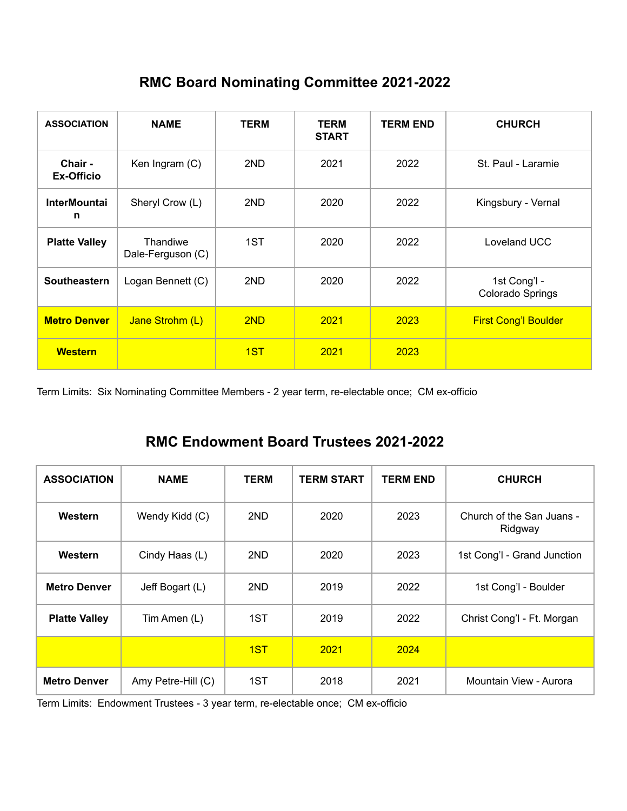# **RMC Board Nominating Committee 2021-2022**

| <b>ASSOCIATION</b>       | <b>NAME</b>                          | <b>TERM</b> | <b>TERM</b><br><b>START</b> | <b>TERM END</b> | <b>CHURCH</b>                    |
|--------------------------|--------------------------------------|-------------|-----------------------------|-----------------|----------------------------------|
| Chair -<br>Ex-Officio    | Ken Ingram (C)                       | 2ND         | 2021                        | 2022            | St. Paul - Laramie               |
| <b>InterMountai</b><br>n | Sheryl Crow (L)                      | 2ND         | 2020                        | 2022            | Kingsbury - Vernal               |
| <b>Platte Valley</b>     | <b>Thandiwe</b><br>Dale-Ferguson (C) | 1ST         | 2020                        | 2022            | Loveland UCC                     |
| Southeastern             | Logan Bennett (C)                    | 2ND         | 2020                        | 2022            | 1st Cong'l -<br>Colorado Springs |
| <b>Metro Denver</b>      | Jane Strohm (L)                      | 2ND         | 2021                        | 2023            | <b>First Cong'l Boulder</b>      |
| <b>Western</b>           |                                      | 1ST         | 2021                        | 2023            |                                  |

Term Limits: Six Nominating Committee Members - 2 year term, re-electable once; CM ex-officio

# **RMC Endowment Board Trustees 2021-2022**

| <b>ASSOCIATION</b>   | <b>NAME</b>        | <b>TERM</b> | <b>TERM START</b> | <b>TERM END</b> | <b>CHURCH</b>                        |
|----------------------|--------------------|-------------|-------------------|-----------------|--------------------------------------|
| Western              | Wendy Kidd (C)     | 2ND         | 2020              | 2023            | Church of the San Juans -<br>Ridgway |
| Western              | Cindy Haas (L)     | 2ND         | 2020              | 2023            | 1st Cong'l - Grand Junction          |
| <b>Metro Denver</b>  | Jeff Bogart (L)    | 2ND         | 2019              | 2022            | 1st Cong'l - Boulder                 |
| <b>Platte Valley</b> | Tim Amen (L)       | 1ST         | 2019              | 2022            | Christ Cong'l - Ft. Morgan           |
|                      |                    | 1ST         | 2021              | 2024            |                                      |
| <b>Metro Denver</b>  | Amy Petre-Hill (C) | 1ST         | 2018              | 2021            | Mountain View - Aurora               |

Term Limits: Endowment Trustees - 3 year term, re-electable once; CM ex-officio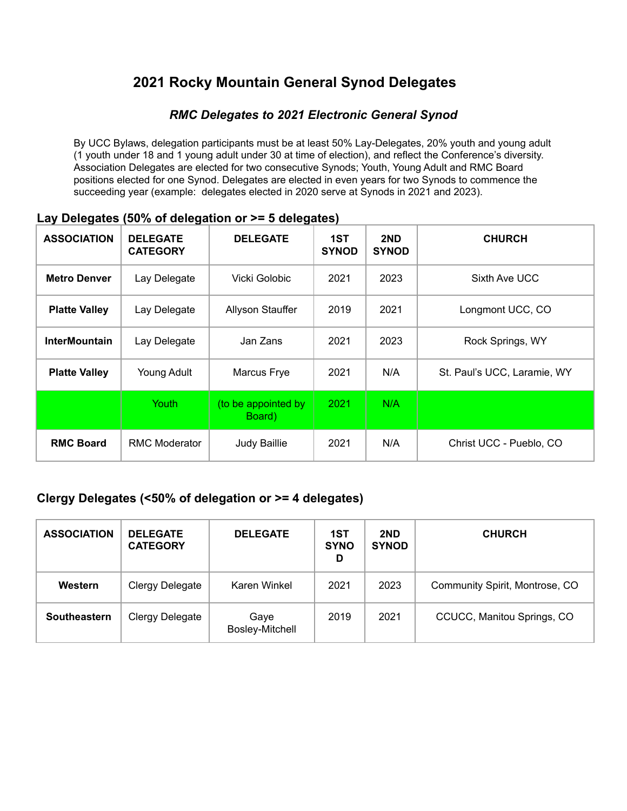# **2021 Rocky Mountain General Synod Delegates**

#### *RMC Delegates to 2021 Electronic General Synod*

By UCC Bylaws, delegation participants must be at least 50% Lay-Delegates, 20% youth and young adult (1 youth under 18 and 1 young adult under 30 at time of election), and reflect the Conference's diversity. Association Delegates are elected for two consecutive Synods; Youth, Young Adult and RMC Board positions elected for one Synod. Delegates are elected in even years for two Synods to commence the succeeding year (example: delegates elected in 2020 serve at Synods in 2021 and 2023).

| <b>ASSOCIATION</b>   | <b>DELEGATE</b><br><b>CATEGORY</b> | <b>DELEGATE</b>               | 1ST<br><b>SYNOD</b> | 2ND<br><b>SYNOD</b> | <b>CHURCH</b>               |
|----------------------|------------------------------------|-------------------------------|---------------------|---------------------|-----------------------------|
| <b>Metro Denver</b>  | Lay Delegate                       | Vicki Golobic                 | 2021                | 2023                | Sixth Ave UCC               |
| <b>Platte Valley</b> | Lay Delegate                       | Allyson Stauffer              | 2019                | 2021                | Longmont UCC, CO            |
| <b>InterMountain</b> | Lay Delegate                       | Jan Zans                      | 2021                | 2023                | Rock Springs, WY            |
| <b>Platte Valley</b> | Young Adult                        | Marcus Frye                   | 2021                | N/A                 | St. Paul's UCC, Laramie, WY |
|                      | Youth                              | (to be appointed by<br>Board) | 2021                | N/A                 |                             |
| <b>RMC Board</b>     | <b>RMC Moderator</b>               | Judy Baillie                  | 2021                | N/A                 | Christ UCC - Pueblo, CO     |

#### **Lay Delegates (50% of delegation or >= 5 delegates)**

#### **Clergy Delegates (<50% of delegation or >= 4 delegates)**

| <b>ASSOCIATION</b> | <b>DELEGATE</b><br><b>CATEGORY</b> | <b>DELEGATE</b>                | 1ST<br><b>SYNO</b><br>D | 2ND<br><b>SYNOD</b> | <b>CHURCH</b>                  |
|--------------------|------------------------------------|--------------------------------|-------------------------|---------------------|--------------------------------|
| Western            | Clergy Delegate                    | Karen Winkel                   | 2021                    | 2023                | Community Spirit, Montrose, CO |
| Southeastern       | Clergy Delegate                    | Gaye<br><b>Bosley-Mitchell</b> | 2019                    | 2021                | CCUCC, Manitou Springs, CO     |